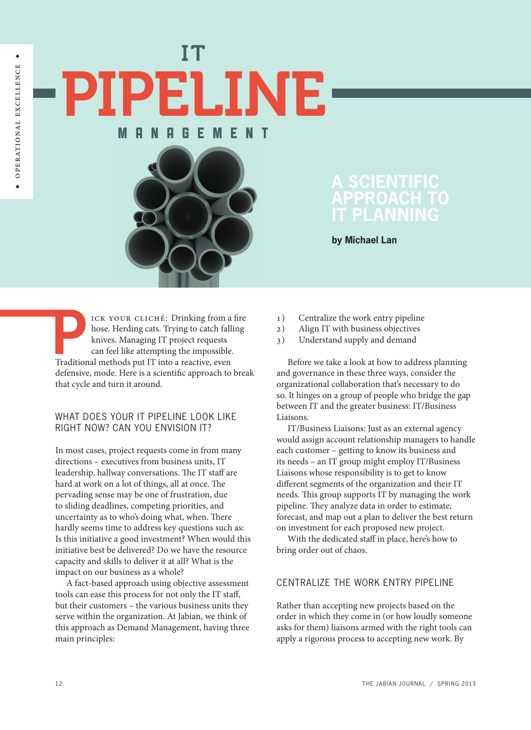IT PELINE **EMENT** 



# **A Scientific Approach to IT Planning**

**by Michael Lan**

ICK YOUR CLICHÉ: Drinking from a fire hose. Herding cats. Trying to catch falling knives. Managing IT project requests can feel like attempting the impossible. Traditional methods put IT into a reactive, even defensive, mode. Here is a scientific approach to break that cycle and turn it around.

## WHAT DOES YOUR IT PIPELINE LOOK LIKE right now? Can you envision it?

In most cases, project requests come in from many directions – executives from business units, IT leadership, hallway conversations. The IT staff are hard at work on a lot of things, all at once. The pervading sense may be one of frustration, due to sliding deadlines, competing priorities, and uncertainty as to who's doing what, when. There hardly seems time to address key questions such as: Is this initiative a good investment? When would this initiative best be delivered? Do we have the resource capacity and skills to deliver it at all? What is the impact on our business as a whole?

A fact-based approach using objective assessment tools can ease this process for not only the IT staff, but their customers – the various business units they serve within the organization. At Jabian, we think of this approach as Demand Management, having three main principles:

- 1) Centralize the work entry pipeline
- 2) Align IT with business objectives
- 3) Understand supply and demand

Before we take a look at how to address planning and governance in these three ways, consider the organizational collaboration that's necessary to do so. It hinges on a group of people who bridge the gap between IT and the greater business: IT/Business Liaisons.

IT/Business Liaisons: Just as an external agency would assign account relationship managers to handle each customer – getting to know its business and its needs – an IT group might employ IT/Business Liaisons whose responsibility is to get to know different segments of the organization and their IT needs. This group supports IT by managing the work pipeline. They analyze data in order to estimate, forecast, and map out a plan to deliver the best return on investment for each proposed new project.

With the dedicated staff in place, here's how to bring order out of chaos.

### Centralize the Work Entry Pipeline

Rather than accepting new projects based on the order in which they come in (or how loudly someone asks for them) liaisons armed with the right tools can apply a rigorous process to accepting new work. By